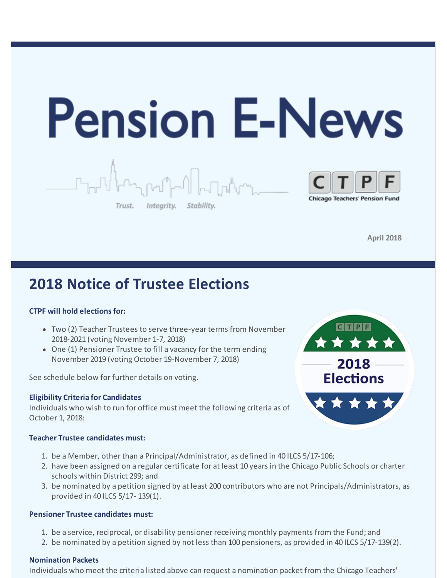

**April 2018**

# **2018 Notice of Trustee Elections**

## **CTPF will hold elections for:**

- Two (2) Teacher Trustees to serve three-year terms from November 2018-2021 (voting November 1-7, 2018)
- One (1) Pensioner Trustee to fill a vacancy for the term ending November 2019 (voting October 19-November 7, 2018)

See schedule below for further details on voting.

## **Eligibility Criteria for Candidates**

Individuals who wish to run for office must meet the following criteria as of October 1, 2018:

### **Teacher Trustee candidates must:**

- 1. be a Member, other than a Principal/Administrator, as defined in 40 ILCS 5/17-106;
- 2. have been assigned on a regular certificate for at least 10 years in the Chicago Public Schools or charter schools within District 299; and
- 3. be nominated by a petition signed by at least 200 contributors who are not Principals/Administrators, as provided in 40 ILCS 5/17- 139(1).

### **Pensioner Trustee candidates must:**

- 1. be a service, reciprocal, or disability pensioner receiving monthly payments from the Fund; and
- 2. be nominated by a petition signed by not less than 100 pensioners, as provided in 40 ILCS 5/17-139(2).

## **Nomination Packets**

Individuals who meet the criteria listed above can request a nomination packet from the Chicago Teachers'

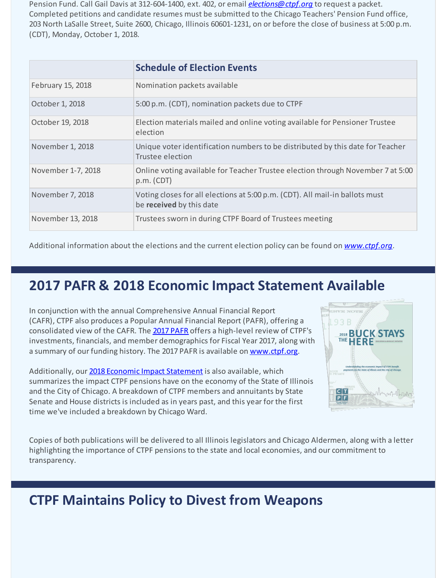Pension Fund. Call Gail Davis at 312-604-1400, ext. 402, or email *[elections@ctpf.org](mailto:elections@ctpf.org)* to request a packet. Completed petitions and candidate resumes must be submitted to the Chicago Teachers' Pension Fund office, 203 North LaSalle Street, Suite 2600, Chicago, Illinois 60601-1231, on or before the close of business at 5:00 p.m. (CDT), Monday, October 1, 2018.

|                    | <b>Schedule of Election Events</b>                                                                       |
|--------------------|----------------------------------------------------------------------------------------------------------|
| February 15, 2018  | Nomination packets available                                                                             |
| October 1, 2018    | 5:00 p.m. (CDT), nomination packets due to CTPF                                                          |
| October 19, 2018   | Election materials mailed and online voting available for Pensioner Trustee<br>election                  |
| November 1, 2018   | Unique voter identification numbers to be distributed by this date for Teacher<br>Trustee election       |
| November 1-7, 2018 | Online voting available for Teacher Trustee election through November 7 at 5:00<br>p.m. (CDT)            |
| November 7, 2018   | Voting closes for all elections at 5:00 p.m. (CDT). All mail-in ballots must<br>be received by this date |
| November 13, 2018  | Trustees sworn in during CTPF Board of Trustees meeting                                                  |

Additional information about the elections and the current election policy can be found on *[www.ctpf.org](http://r20.rs6.net/tn.jsp?f=001J5FGJ2GkJD1MQnFCpjJu0AXKMp9nuJfTIR9R994D1mR3EYtPA8TX2l5zVQFJwaRt_IfZVqJ02kEFQKrlGSBMiG3KpnSWt4XsBELONrKMNV6vThIT23fpIkmghlx3B05briWFWdEbTfIUQGxrTyeJdOi_vMU-a9mWHmRG0NHKW8HOqElZROnbfbr_Uw6z66KSPSZ0GFRxO8Y=&c=&ch=)*.

# **2017 PAFR & 2018 Economic Impact Statement Available**

In conjunction with the annual Comprehensive Annual Financial Report (CAFR), CTPF also produces a Popular Annual Financial Report (PAFR), offering a consolidated view of the CAFR. The 2017 [PAFR](http://r20.rs6.net/tn.jsp?f=001J5FGJ2GkJD1MQnFCpjJu0AXKMp9nuJfTIR9R994D1mR3EYtPA8TX2is5LGmSkA9q31N2yE72kq25ds06UNhA1GdT8qHDKSqtqBrDiQSBTsZwC1laOHmjAurOIYnArVbUYQYxpX61zI6mEO7Rrnt9TeSbyh39DoigWP4ORFxqeNuNbf8V4IQ8Qs8BTiwp1-F9FsPcDNb2vbo=&c=&ch=) offers a high-level review of CTPF's investments, financials, and member demographics for Fiscal Year 2017, along with a summary of our funding history. The 2017 PAFR is available on [www.ctpf.org](http://r20.rs6.net/tn.jsp?f=001J5FGJ2GkJD1MQnFCpjJu0AXKMp9nuJfTIR9R994D1mR3EYtPA8TX2is5LGmSkA9q31N2yE72kq25ds06UNhA1GdT8qHDKSqtqBrDiQSBTsZwC1laOHmjAurOIYnArVbUYQYxpX61zI6mEO7Rrnt9TeSbyh39DoigWP4ORFxqeNuNbf8V4IQ8Qs8BTiwp1-F9FsPcDNb2vbo=&c=&ch=).

Additionally, our 2018 Economic Impact [Statement](http://r20.rs6.net/tn.jsp?f=001J5FGJ2GkJD1MQnFCpjJu0AXKMp9nuJfTIR9R994D1mR3EYtPA8TX2mz_XUlZEnKt7Dn57he42ivyUrV_qNbO9vWja6C7mRBPCKfzMfaA3XKyvzjMfsUqtOZ-yQJmGS1hTQRQuALLjxkKX4aLcAi4UuCV_EQELRE_Pw2WFRQsyBNkNnB8mmwLpjutYJUmpX-HfcUusBdOhyr-iHuW7rsVjco8g3PLuaZVOMzB9vttECM=&c=&ch=) is also available, which summarizes the impact CTPF pensions have on the economy of the State of Illinois and the City of Chicago. A breakdown of CTPF members and annuitants by State Senate and House districts is included as in years past, and this year for the first time we've included a breakdown by Chicago Ward.



Copies of both publications will be delivered to all Illinois legislators and Chicago Aldermen, along with a letter highlighting the importance of CTPF pensions to the state and local economies, and our commitment to transparency.

# **CTPF Maintains Policy to Divest from Weapons**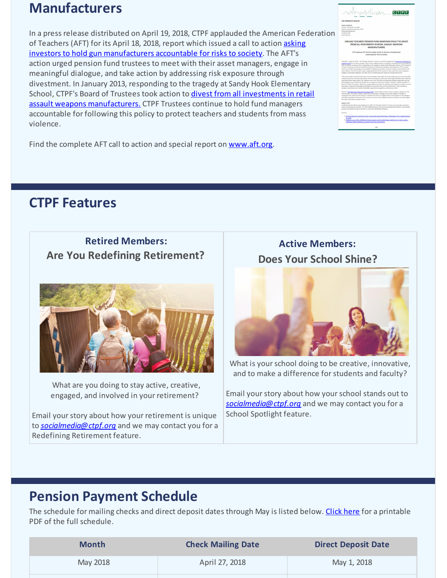# **Manufacturers**

In a press release distributed on April 19, 2018, CTPF applauded the American Federation of Teachers (AFT) for its April 18, 2018, report which issued a call to action asking investors to hold gun [manufacturers](http://r20.rs6.net/tn.jsp?f=001J5FGJ2GkJD1MQnFCpjJu0AXKMp9nuJfTIR9R994D1mR3EYtPA8TX2vSaJbotmMJ5liTHU77XU7_QRhd7g063fLw4Dkv9lhi0TQJ5-TWL_YqJ96DEpIG9KlKGNcx0awVEvbgN_6uW_-4dz8tjoVwh7Wg7a4MTxZLCuSj8mBcEu2Lqwdi1M3GTugaBMDXaeOV9VhnWVyVP4arIQ9_rrpiEYBO-BcxVqia5JRM8lLdY5yIyUCeRaXk9Zq7D-2HJulsqKfofUpvhkSrqJ1qhJRRaMLBJhXgfWovE&c=&ch=) accountable for risks to society. The AFT's action urged pension fund trustees to meet with their asset managers, engage in meaningful dialogue, and take action by addressing risk exposure through divestment. In January 2013, responding to the tragedy at Sandy Hook Elementary School, CTPF's Board of Trustees took action to divest from all investments in retail assault weapons [manufacturers.](http://r20.rs6.net/tn.jsp?f=001J5FGJ2GkJD1MQnFCpjJu0AXKMp9nuJfTIR9R994D1mR3EYtPA8TX2is5LGmSkA9qXjcD1-CX0m2XXszpaR4km3678120nvGWKwDofYxSC-PfbXGtDLCCULFgPgDujKOeXDfMrZmP_fjVa45J38stNRB0koqNZkp1hIPCy4rqZvmKefcN11cbrdT_LQlJyXp7pzHWzkPSXgQ=&c=&ch=) CTPF Trustees continue to hold fund managers accountable for following this policy to protect teachers and students from mass violence.

Find the complete AFT call to action and special report on [www.aft.org](http://r20.rs6.net/tn.jsp?f=001J5FGJ2GkJD1MQnFCpjJu0AXKMp9nuJfTIR9R994D1mR3EYtPA8TX2vSaJbotmMJ5liTHU77XU7_QRhd7g063fLw4Dkv9lhi0TQJ5-TWL_YqJ96DEpIG9KlKGNcx0awVEvbgN_6uW_-4dz8tjoVwh7Wg7a4MTxZLCuSj8mBcEu2Lqwdi1M3GTugaBMDXaeOV9VhnWVyVP4arIQ9_rrpiEYBO-BcxVqia5JRM8lLdY5yIyUCeRaXk9Zq7D-2HJulsqKfofUpvhkSrqJ1qhJRRaMLBJhXgfWovE&c=&ch=).

# $C[T|P|F]$

# **CTPF Features**

# **Retired Members: Are You Redefining Retirement?**



What are you doing to stay active, creative, engaged, and involved in your retirement?

Email your story about how your retirement is unique to *[socialmedia@ctpf.org](mailto:socialmedia@ctpf.org)* and we may contact you for a Redefining Retirement feature.

# **Active Members: Does Your School Shine?**



What is your school doing to be creative, innovative, and to make a difference for students and faculty?

Email your story about how your school stands out to *[socialmedia@ctpf.org](mailto:socialmedia@ctpf.org)* and we may contact you for a School Spotlight feature.

# **Pension Payment Schedule**

The schedule for mailing checks and direct deposit dates through May is listed below. [Click](http://r20.rs6.net/tn.jsp?f=001J5FGJ2GkJD1MQnFCpjJu0AXKMp9nuJfTIR9R994D1mR3EYtPA8TX2rfJCYmygHSa_rL8d9Y53R8sI4Rh6KX7b3TrvFa0UvNyEez1I4gDWue1s98RAHMG8jhGSsj_7bKqTpoQvLVLDZszHObs5HQ6R9dI7y0QZJElBaShg-fDPRQgEJhI8ajyqYrYMo39SC4G0HY_gqMShPzVBcaOXJDO1Q==&c=&ch=) here for a printable PDF of the full schedule.

| <b>Month</b> | <b>Check Mailing Date</b> | <b>Direct Deposit Date</b> |
|--------------|---------------------------|----------------------------|
| May 2018     | April 27, 2018            | May 1, 2018                |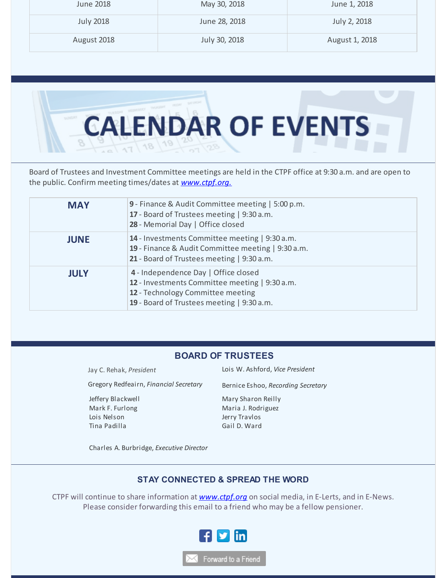| June 2018        | May 30, 2018  | June 1, 2018   |
|------------------|---------------|----------------|
| <b>July 2018</b> | June 28, 2018 | July 2, 2018   |
| August 2018      | July 30, 2018 | August 1, 2018 |



Board of Trustees and Investment Committee meetings are held in the CTPF office at 9:30 a.m. and are open to the public. Confirm meeting times/dates at *[www.ctpf.org.](http://r20.rs6.net/tn.jsp?f=001J5FGJ2GkJD1MQnFCpjJu0AXKMp9nuJfTIR9R994D1mR3EYtPA8TX2kKVVBjrTRB_J29LF3xDo4x29z--d-JpRLsPVWeNO_2SQen0irfMTYgCBpG-jWB9EJqSxlLo4Yraljc0NCDZGYbG2OWSzg9cWAQNYct1WEYRSV9YhOYUeN8TxIaRfCuayD3gMB0VtXdlQIJznJrSyz4=&c=&ch=)*

| <b>MAY</b>  | 9 - Finance & Audit Committee meeting   5:00 p.m.<br>17 - Board of Trustees meeting   9:30 a.m.<br>28 - Memorial Day   Office closed                                      |
|-------------|---------------------------------------------------------------------------------------------------------------------------------------------------------------------------|
| <b>JUNE</b> | 14 - Investments Committee meeting   9:30 a.m.<br>19 - Finance & Audit Committee meeting   9:30 a.m.<br>21 - Board of Trustees meeting   9:30 a.m.                        |
| <b>JULY</b> | 4 - Independence Day   Office closed<br>12 - Investments Committee meeting   9:30 a.m.<br>12 - Technology Committee meeting<br>19 - Board of Trustees meeting   9:30 a.m. |

### **BOARD OF TRUSTEES**

Gregory Redfeairn, *Financial Secretary* Bernice Eshoo, *Recording Secretary*

Jeffery Blackwell Mark F. Furlong Lois Nelson Tina Padilla

Jay C. Rehak, *President* Lois W. Ashford, *Vice President*

Mary Sharon Reilly Maria J. Rodriguez Jerry Travlos Gail D. Ward

Charles A. Burbridge, *Executive Director*

### **STAY CONNECTED & SPREAD THE WORD**

CTPF will continue to share information at *[www.ctpf.org](http://r20.rs6.net/tn.jsp?f=001J5FGJ2GkJD1MQnFCpjJu0AXKMp9nuJfTIR9R994D1mR3EYtPA8TX2m0zuVEw8HSQ-wbFtcyRxaR0wWH-tpCQOVSNz30cjwQbnJ7ZqY4DD88QT3sIVUy2eTykpUitFJHd-B7d7GmW-uSIL_dz5qqklHRkz9VBsXuW&c=&ch=)* on social media, in E-Lerts, and in E-News. Please consider forwarding this email to a friend who may be a fellow pensioner.